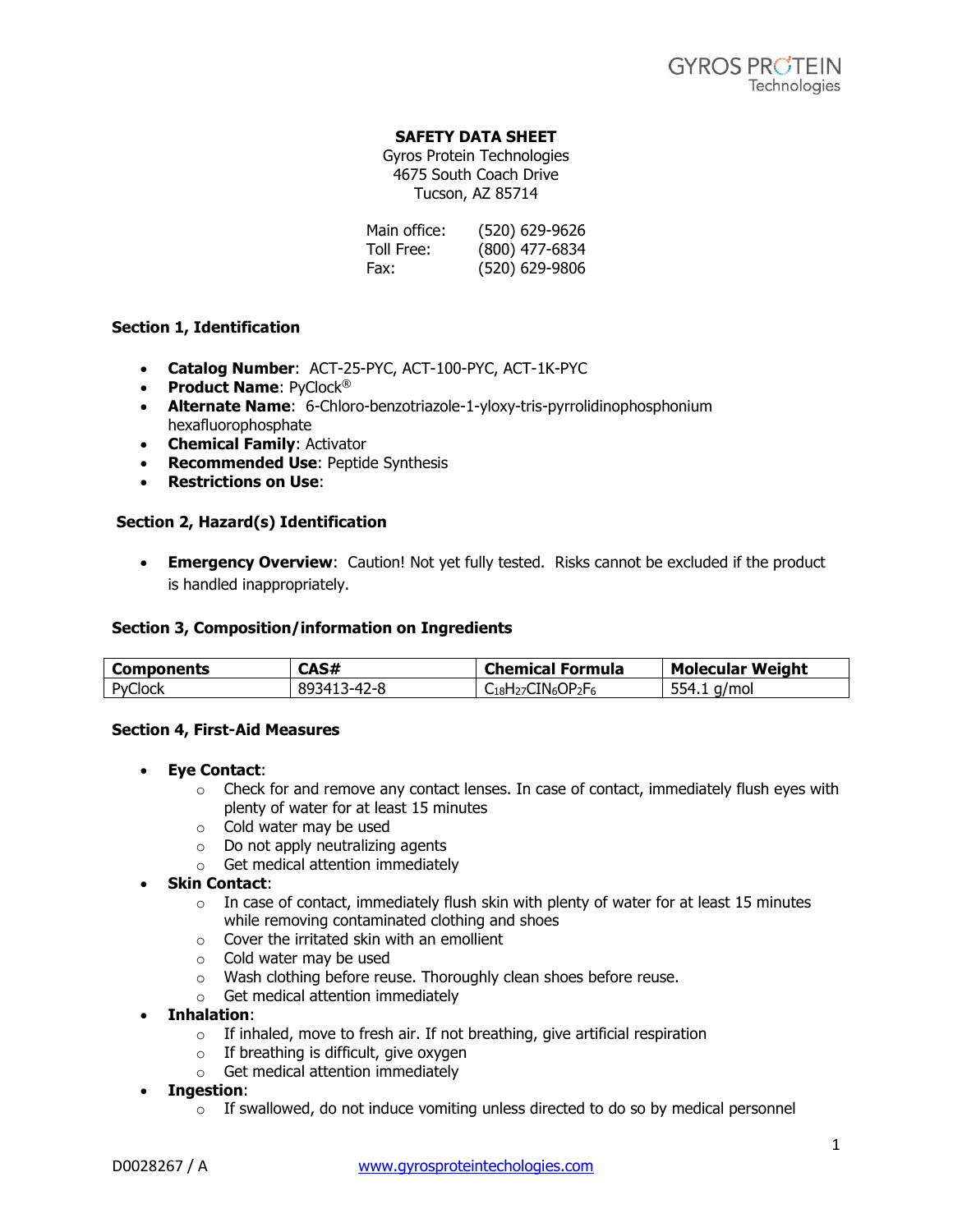## **SAFETY DATA SHEET**

Gyros Protein Technologies 4675 South Coach Drive Tucson, AZ 85714

Main office: (520) 629-9626 Toll Free: (800) 477-6834 Fax: (520) 629-9806

## **Section 1, Identification**

- **Catalog Number**: ACT-25-PYC, ACT-100-PYC, ACT-1K-PYC
- **Product Name: PvClock®**
- **Alternate Name**: 6-Chloro-benzotriazole-1-yloxy-tris-pyrrolidinophosphonium hexafluorophosphate
- **Chemical Family**: Activator
- **Recommended Use: Peptide Synthesis**
- **Restrictions on Use**:

## **Section 2, Hazard(s) Identification**

**Emergency Overview**: Caution! Not yet fully tested. Risks cannot be excluded if the product is handled inappropriately.

### **Section 3, Composition/information on Ingredients**

| <b>Components</b> | CAS#                                   | <b>Chemical</b><br>Formula                | Weight<br><b>Molecular</b> |
|-------------------|----------------------------------------|-------------------------------------------|----------------------------|
| $\sim$<br>PvClock | R۵<br>∢⊿<br>$2 - 8$<br>---<br>,,,<br>. | $\mathsf{OP}_2F_6$<br>TNءC<br>$-18$ $127$ | ⊤Է⊿<br>/mol<br>---         |

### **Section 4, First-Aid Measures**

- **Eye Contact**:
	- $\circ$  Check for and remove any contact lenses. In case of contact, immediately flush eyes with plenty of water for at least 15 minutes
	- o Cold water may be used
	- o Do not apply neutralizing agents
	- o Get medical attention immediately
- **Skin Contact**:
	- $\circ$  In case of contact, immediately flush skin with plenty of water for at least 15 minutes while removing contaminated clothing and shoes
	- o Cover the irritated skin with an emollient
	- o Cold water may be used
	- o Wash clothing before reuse. Thoroughly clean shoes before reuse.
	- o Get medical attention immediately
- **Inhalation**:
	- $\circ$  If inhaled, move to fresh air. If not breathing, give artificial respiration
	- o If breathing is difficult, give oxygen
	- o Get medical attention immediately
- **Ingestion**:
	- $\circ$  If swallowed, do not induce vomiting unless directed to do so by medical personnel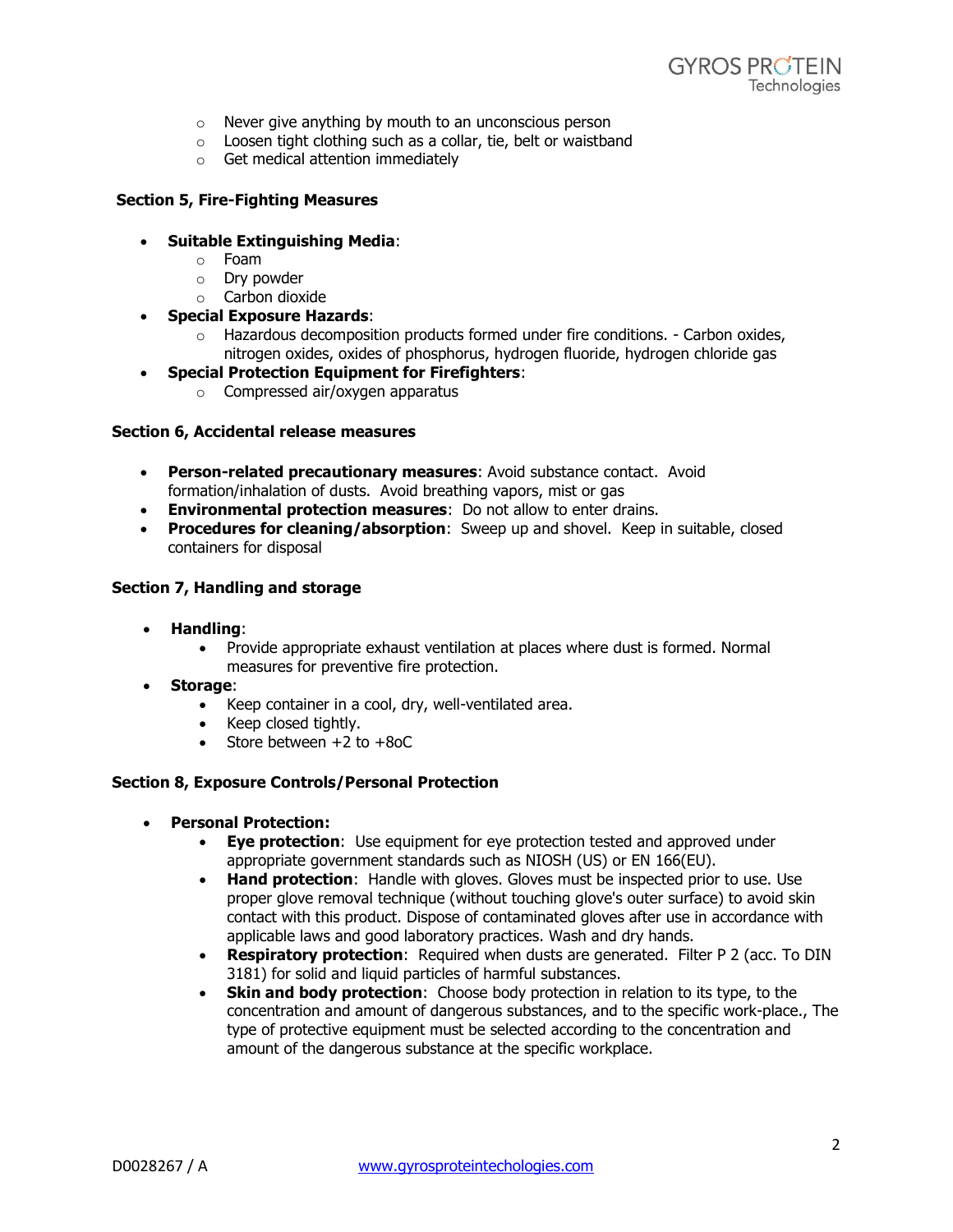- o Never give anything by mouth to an unconscious person
- o Loosen tight clothing such as a collar, tie, belt or waistband
- o Get medical attention immediately

## **Section 5, Fire-Fighting Measures**

- **Suitable Extinguishing Media**:
	- o Foam
	- o Dry powder
	- o Carbon dioxide
- **Special Exposure Hazards**:
	- $\circ$  Hazardous decomposition products formed under fire conditions. Carbon oxides, nitrogen oxides, oxides of phosphorus, hydrogen fluoride, hydrogen chloride gas
- **Special Protection Equipment for Firefighters**:
	- o Compressed air/oxygen apparatus

### **Section 6, Accidental release measures**

- **Person-related precautionary measures**: Avoid substance contact. Avoid formation/inhalation of dusts. Avoid breathing vapors, mist or gas
- **Environmental protection measures**: Do not allow to enter drains.
- **Procedures for cleaning/absorption**: Sweep up and shovel. Keep in suitable, closed containers for disposal

## **Section 7, Handling and storage**

- **Handling**:
	- Provide appropriate exhaust ventilation at places where dust is formed. Normal measures for preventive fire protection.
- **Storage**:
	- Keep container in a cool, dry, well-ventilated area.
	- Keep closed tightly.
	- $\bullet$  Store between  $+2$  to  $+8$ oC

### **Section 8, Exposure Controls/Personal Protection**

- **Personal Protection:**
	- **Eye protection**: Use equipment for eye protection tested and approved under appropriate government standards such as NIOSH (US) or EN 166(EU).
	- **Hand protection**: Handle with gloves. Gloves must be inspected prior to use. Use proper glove removal technique (without touching glove's outer surface) to avoid skin contact with this product. Dispose of contaminated gloves after use in accordance with applicable laws and good laboratory practices. Wash and dry hands.
	- **Respiratory protection**: Required when dusts are generated. Filter P 2 (acc. To DIN 3181) for solid and liquid particles of harmful substances.
	- **Skin and body protection**: Choose body protection in relation to its type, to the concentration and amount of dangerous substances, and to the specific work-place., The type of protective equipment must be selected according to the concentration and amount of the dangerous substance at the specific workplace.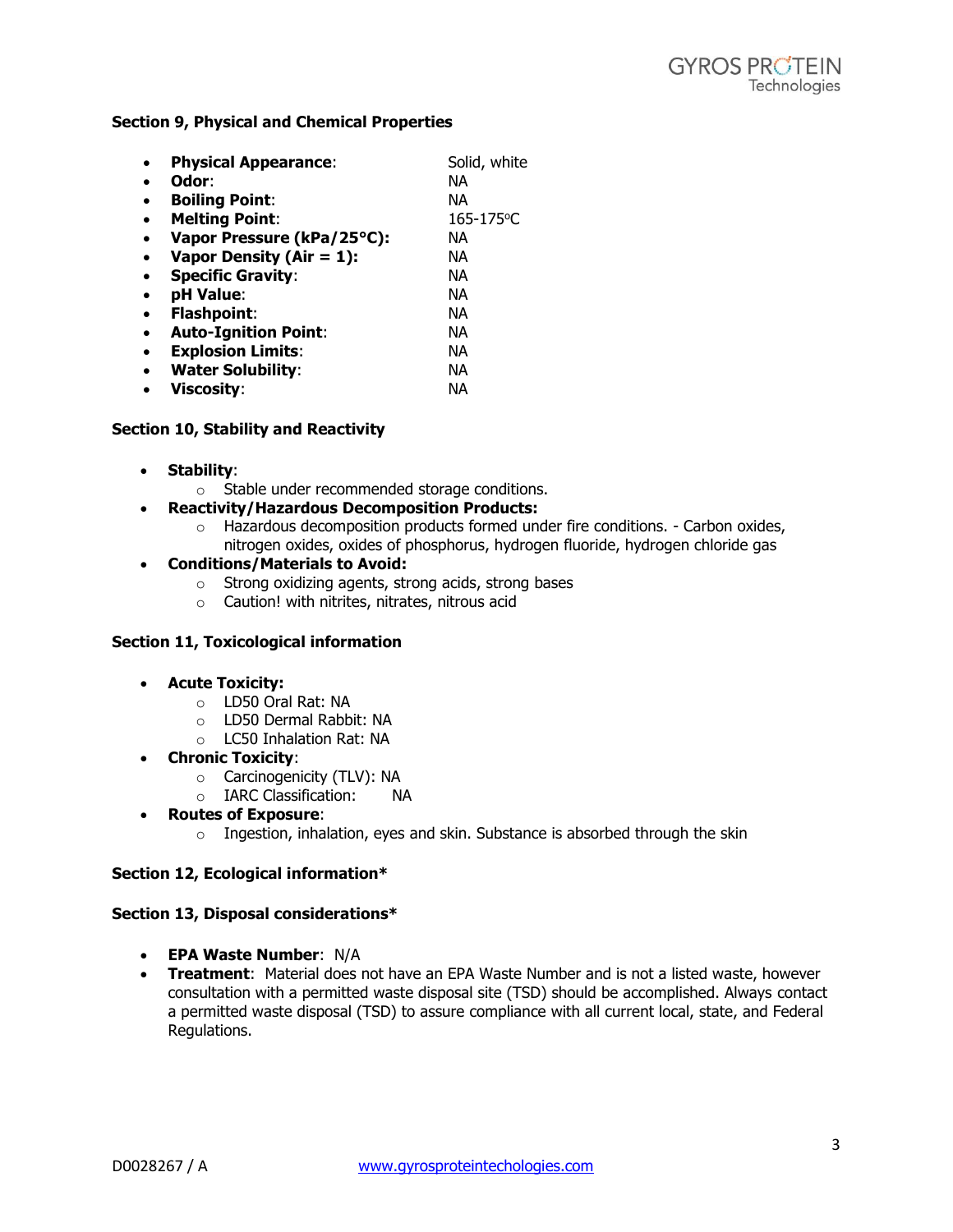## **Section 9, Physical and Chemical Properties**

| <b>Physical Appearance:</b> | Solid, white |
|-----------------------------|--------------|
| Odor:                       | NА           |
| <b>Boiling Point:</b>       | NА           |
| <b>Melting Point:</b>       | 165-175°C    |
| Vapor Pressure (kPa/25°C):  | NА           |
| Vapor Density (Air = $1$ ): | NА           |
| <b>Specific Gravity:</b>    | NА           |
| pH Value:                   | NА           |
| <b>Flashpoint:</b>          | NА           |
| <b>Auto-Ignition Point:</b> | NА           |
| <b>Explosion Limits:</b>    | NА           |
| <b>Water Solubility:</b>    | NА           |
| <b>Viscosity:</b>           | ΝA           |

## **Section 10, Stability and Reactivity**

- **Stability**:
	- o Stable under recommended storage conditions.
- **Reactivity/Hazardous Decomposition Products:** 
	- $\circ$  Hazardous decomposition products formed under fire conditions. Carbon oxides, nitrogen oxides, oxides of phosphorus, hydrogen fluoride, hydrogen chloride gas

# **Conditions/Materials to Avoid:**

- o Strong oxidizing agents, strong acids, strong bases
- o Caution! with nitrites, nitrates, nitrous acid

## **Section 11, Toxicological information**

- **Acute Toxicity:**
	- o LD50 Oral Rat: NA
	- o LD50 Dermal Rabbit: NA
	- o LC50 Inhalation Rat: NA
- **Chronic Toxicity**:
	- o Carcinogenicity (TLV): NA
	- o IARC Classification: NA
- **Routes of Exposure**:
	- $\circ$  Ingestion, inhalation, eyes and skin. Substance is absorbed through the skin

### **Section 12, Ecological information\***

### **Section 13, Disposal considerations\***

- **EPA Waste Number**: N/A
- **Treatment**: Material does not have an EPA Waste Number and is not a listed waste, however consultation with a permitted waste disposal site (TSD) should be accomplished. Always contact a permitted waste disposal (TSD) to assure compliance with all current local, state, and Federal Regulations.